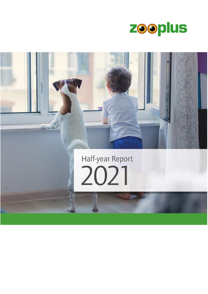

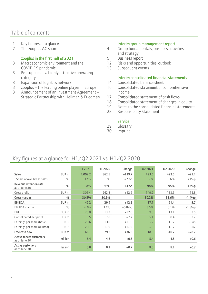## Table of contents

- 
- 

#### zooplus in the first half of 2021 5 Business report

- 3 Macroeconomic environment and the COVID-19 pandemic
- 3 Pet supplies – a highly attractive operating category
- 3 Expansion of logistics network
- 3 zooplus – the leading online player in Europe
- 3 Announcement of an Investment Agreement – Strategic Partnership with Hellman & Friedman

#### 1 Key figures at a glance **Interim group management report**

- 2 The zooplus AG share  $\frac{4}{100}$  Group fundamentals, business activities and strategy
	-
	- 12 Risks and opportunities, outlook
	- 13 Subsequent events

#### Interim consolidated financial statements

- 14 Consolidated balance sheet
- 16 Consolidated statement of comprehensive income
- 17 Consolidated statement of cash flows
- 18 Consolidated statement of changes in equity
- 19 Notes to the consolidated financial statements
- 28 Responsibility Statement

#### **Service**

- 29 Glossary
- 30 Imprint

# Key figures at a glance for H1/Q2 2021 vs. H1/Q2 2020

|                                          |                  | H1 2021 | H1 2020 | Change    | Q2 2021 | Q2 2020 | Change    |
|------------------------------------------|------------------|---------|---------|-----------|---------|---------|-----------|
| <b>Sales</b>                             | EUR <sub>m</sub> | 1,002.2 | 862.5   | $+139.7$  | 493.6   | 422.5   | $+71.1$   |
| Share of own brand sales                 | $\frac{0}{0}$    | 17%     | 15%     | $+2\%p$   | 17%     | 16%     | $+1\%p$   |
| Revenue retention rate<br>as of June 30  | $\frac{0}{0}$    | 98%     | 95%     | $+3\%p$   | 98%     | 95%     | $+3%p$    |
| Gross profit                             | EUR <sub>m</sub> | 305.4   | 262.8   | $+42.6$   | 149.2   | 133.5   | $+15.8$   |
| Gross margin                             | $\frac{0}{0}$    | 30.5%   | 30.5%   |           | 30.2%   | 31.6%   | $-1.4%p$  |
| <b>EBITDA</b>                            | EUR <sub>m</sub> | 42.2    | 29.4    | $+12.8$   | 17.7    | 21.4    | $-3.7$    |
| EBITDA margin                            | $\frac{0}{0}$    | 4.2%    | 3.4%    | $+0.8\%p$ | 3.6%    | 5.1%    | $-1.5\%p$ |
| EBT                                      | EUR <sub>m</sub> | 25.8    | 13.7    | $+12.0$   | 9.6     | 13.1    | $-3.5$    |
| Consolidated net profit                  | EUR m            | 15.5    | 7.8     | $+7.7$    | 5.1     | 8.4     | $-3.2$    |
| Earnings per share (basic)               | <b>EUR</b>       | 2.16    | 1.10    | $+1.06$   | 0.72    | 1.17    | $-0.45$   |
| Earnings per share (diluted)             | <b>EUR</b>       | 2.11    | 1.09    | $+1.02$   | 0.70    | 1.17    | $-0.47$   |
| Free cash flow                           | EUR <sub>m</sub> | 66.1    | 29.6    | $+36.5$   | 18.0    | $-10.7$ | $+28.7$   |
| Active repeat customers<br>as of June 30 | million          | 5.4     | 4.8     | $+0.6$    | 5.4     | 4.8     | $+0.6$    |
| Active customers<br>as of June 30        | million          | 8.8     | 8.1     | $+0.7$    | 8.8     | 8.1     | $+0.7$    |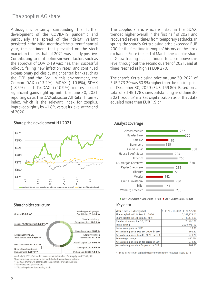### The zooplus AG share

Although uncertainty surrounding the further development of the COVID-19 pandemic and particularly the spread of the "delta" variant persisted in the initial months of the current financial year, the sentiment that prevailed on the stock market in the first half of 2021 was clearly positive. Contributing to that optimism were factors such as the approval of COVID-19 vaccines, their successful roll-out, falling new infection rates, and continued expansionary policies by major central banks such as the ECB and the Fed. In this environment, the German DAX (+13.2%), MDAX (+10.6%), SDAX (+8.5%) and TecDAX (+10.9%) indices posted significant gains right up until the June 30, 2021 reporting date. The DAXsubsector All Retail Internet index, which is the relevant index for zooplus, improved slightly by  $+1.8\%$  versus its level at the end of 2020.

#### Share price development H1 2021 Analyst coverage



#### Shareholder structure Key data



As of July 5, 2021; Calculation based on a total number of voting rights of 7,149,178 Share ownership according to the published voting rights notifications \*Free float of 90.06 % according to the definition of Deutsche Börse

\*\* including equity instruments

\*\*\* including shares from trading book

The zooplus share, which is listed in the SDAX, trended higher overall in the first half of 2021 and recovered several times from temporary setbacks. In spring, the share's Xetra closing price exceeded EUR 200 for the first time in zooplus' history on the stock exchange. Since the end of March, the zooplus share in Xetra trading has continued to close above this level throughout the second quarter of 2021, and at times reached as high as EUR 270.

The share's Xetra closing price on June 30, 2021 of EUR 273.20 was 60.9% higher than the closing price on December 30, 2020 (EUR 169.80). Based on a total of 7,149,178 shares outstanding as of June 30, 2021, zooplus' market capitalization as of that date equaled more than EUR 1.9 bn.



■ Buy / Overweight / Outperform ■ Hold ■ Sell / Underweight / Reduce

| WKN / ISIN / Ticker symbol                 | 511170 / DE0005111702 / Z01 |
|--------------------------------------------|-----------------------------|
| Share capital in EUR, Dec 31, 2020         | 7,149,178.00                |
| Share capital in EUR, Jun 30, 2021         | 7,149,178.00                |
| Number of shares, Jun 30, 2021             | 7,149,178                   |
| <b>Initial listing</b>                     | 2008/05/09                  |
| Initial issue price in EUR*                | 13.00                       |
| Xetra closing price, Dec 30, 2020, in EUR  | 169.80                      |
| Xetra closing price, Jun 30, 2021, in EUR  | 273.20                      |
| Percentage change                          | $+60.9%$                    |
| Xetra closing price high for period in EUR | 273.20                      |
| Xetra closing price low for period in EUR  | 164.80                      |

\*Taking into account capital increase from company resources in July 2011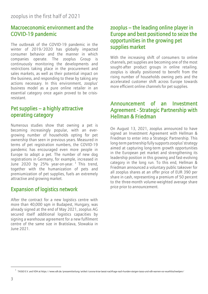# Macroeconomic environment and the COVID-19 pandemic

The outbreak of the COVID-19 pandemic in the winter of 2019/2020 has globally impacted consumer behavior and the manner in which companies operate. The zooplus Group is continuously monitoring the developments and restrictions taking place in the procurement and sales markets, as well as their potential impact on the business, and responding to these by taking any actions necessary. In this environment, zooplus' business model as a pure online retailer in an essential category once again proved to be crisisresistant.

# Pet supplies – a highly attractive operating category

Numerous studies show that owning a pet is becoming increasingly popular, with an evergrowing number of households opting for pet ownership than seen in previous years. Measured in terms of pet registration numbers, the COVID-19 pandemic has encouraged even more people in Europe to adopt a pet. The number of new dog registrations in Germany, for example, increased in June 2020 by 25% year-on-year.<sup>1</sup> This trend, together with the humanization of pets and premiumization of pet supplies, fuels an extremely attractive and growing market.

# Expansion of logistics network

After the contract for a new logistics centre with more than 40,000 sqm in Budapest, Hungary, was already signed at the end of May 2021, zooplus AG secured itself additional logistics capacities by signing a warehouse agreement for a new fulfilment centre of the same size in Bratislava, Slowakia in June 2021.

## zooplus – the leading online player in Europe and best positioned to seize the opportunities in the growing pet supplies market

With the increasing shift of consumers to online channels, pet supplies are becoming one of the most sought-after product groups in online retailing. zooplus is ideally positioned to benefit from the rising number of households owning pets and the accelerated customer shift across Europe towards more efficient online channels for pet supplies.

## Announcement of an Investment Agreement - Strategic Partnership with Hellman & Friedman

On August 13, 2021, zooplus announced to have signed an Investment Agreement with Hellman & Friedman to enter into a Strategic Partnership. This long-term partnership fully supports zooplus' strategy aimed at capturing long-term growth opportunities in the European pet market and strengthening its leadership position in this growing and fast-evolving category in the long run. To this end, Hellman & Friedman announced a voluntary public takeover for all zooplus shares at an offer price of EUR 390 per share in cash, representing a premium of 50 percent to the three-month volume-weighted average share price prior to announcement.

<sup>1</sup> TASSO E.V. and VDH at https://www.vdh.de/pressemitteilung/artikel/corona-krise-laesst-nachfrage-nach-hunden-steigen-tasso-und-vdh-warnen-vor-wuehltischwelpen/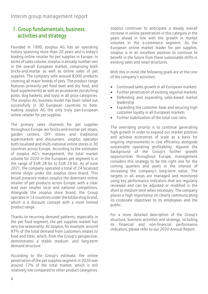# 1. Group fundamentals, business activities and strategy

Founded in 1999, zooplus AG has an operating history spanning more than 20 years and is today's leading online retailer for pet supplies in Europe. In terms of sales volume, zooplus is already number two in the overall European market, comprising both bricks-and-mortar as well as online sales of pet supplies. The company sells around 8,000 products covering all major breeds of pets. The product range features primarily pet food (wet and dry food, and food supplements) as well as accessories (scratching posts, dog baskets, and toys) in all price categories. The zooplus AG business model has been rolled out successfully in 30 European countries to date, making zooplus AG the only truly pan-European online retailer for pet supplies.

The primary sales channels for pet supplies throughout Europe are bricks-and-mortar pet shops, garden centers, DIY stores and traditional supermarkets and discounters. zooplus operates both localized and multi-national online stores in 30 countries across Europe. According to the estimates of zooplus AG's management, the total market volume for 2020 in the European pet segment is in the range of EUR 28 bn to EUR 29 bn. As of June 2021, the company operated a total of 24 localized online shops under the zooplus store brand. This broad presence makes zooplus the dominant online retailer of pet products across Europe, with a clear lead over smaller local and national competitors. Alongside the zooplus store brand, the Group operates in 14 countries under the bitiba shop brand, which is a discount concept with a more limited product range.

Thanks to recurring demand patterns, especially in the pet food segment, the pet supplies market has very low seasonality. At zooplus, for example, around 87% of the total demand from customers relates to food and litter, which, from the Group's perspective, demonstrates a stable medium- and long-term demand structure.

According to the Group's estimate, the online penetration of the pet supplies segment in 2020 was around 17% of the total market, which is still relatively low compared to other product categories. zooplus continues to anticipate a steady overall increase in online penetration in this category in the years ahead in line with the growth in market volumes in the e-commerce segment. As the European online market leader for pet supplies, zooplus is in an excellent position to continue to benefit in the future from these sustainable shifts in existing sales and retail structures.

With this in mind, the following goals are at the core of the company's activities:

- Continued sales growth in all European markets
- Further penetration of existing regional markets
- Defending and expanding sales-based market leadership
- Expanding the customer base and securing high customer loyalty in all European markets
- Further stabilization of the total cost ratio

The overriding priority is to continue generating high growth in order to expand our market position and achieve economies of scale as a basis for ongoing improvements in cost efficiency alongside sustainable operating profitability. Against the background of the Group's further growth opportunities throughout Europe, management considers this strategy to be the right one for the coming quarters and years in the interest of increasing the company's long-term value. The targets in all areas are managed and monitored using key performance indicators that are regularly reviewed and can be adjusted or modified in the short to medium term when necessary. The company places a high importance on clearly communicating its corporate objectives to its employees and the public.

For a more detailed description of the Group's structure, business activities and strategy, including its financial and non-financial performance indicators, please refer to our 2020 Annual Report.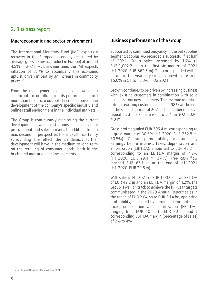# 2. Business report

#### Macroeconomic and sector environment

The International Monetary Fund (IMF) expects a recovery in the European economy (measured by average gross domestic product in Europe) of around 4.5% in 2021. At the same time, the IMF expects inflation of 3.1% to accompany this economic upturn, driven in part by an increase in commodity prices. <sup>2</sup>

From the management's perspective, however, a significant factor influencing its performance much more than the macro outlook described above is the development of the company's specific industry and online retail environment in the individual markets.

The Group is continuously monitoring the current developments and restrictions in individual procurement and sales markets. In addition, from a macroeconomic perspective, there is still uncertainty surrounding the effect the pandemic's further development will have in the medium to long term on the retailing of consumer goods, both in the bricks-and-mortar and online segments.

#### Business performance of the Group

Supported by continued buoyancy in the pet supplies segment, zooplus AG recorded a successful first half of 2021. Group sales increased by 16% to EUR 1,002.2 m in the first six months of 2021 (H1 2020: EUR 862.5 m). This corresponded with a pickup in the year-on-year sales growth rate from 15.6% in Q1 to 16.8% in Q2 2021.

Growth continues to be driven by increasing business with existing customers in combination with solid business from new customers. The revenue retention rate for existing customers reached 98% at the end of the second quarter of 2021. The number of active repeat customers increased to 5.4 m (Q2 2020: 4.8 m).

Gross profit equaled EUR 305.4 m, corresponding to a gross margin of 30.5% (H1 2020: EUR 262.8 m; 30.5%). Operating profitability, measured by earnings before interest, taxes, depreciation and amortization (EBITDA), amounted to EUR 42.2 m, corresponding to an EBITDA margin of 4.2% (H1 2020: EUR 29.4 m; 3.4%). Free cash flow reached EUR 66.1 m at the end of H1 2021 (H1 2020: EUR 29.6 m).

With sales in H1 2021 of EUR 1,002.2 m, an EBITDA of EUR 42.2 m and an EBITDA margin of 4.2%, the Group is well on track to achieve the full-year targets communicated in the 2020 Annual Report: sales in the range of EUR 2.04 bn to EUR 2.14 bn, operating profitability, measured by earnings before interest, taxes, depreciation and amortization (EBITDA), ranging from EUR 40 m to EUR 80 m, and a corresponding EBITDA margin (percentage of sales) of 2% to 4%.

<sup>2</sup> IMF Regional Economic Outlook | April 2021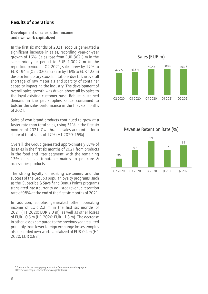### Results of operations

#### Development of sales, other income and own work capitalized

In the first six months of 2021, zooplus generated a significant increase in sales, recording year-on-year growth of 16%. Sales rose from EUR 862.5 m in the same prior-year period to EUR 1,002.2 m in the reporting period. In Q2 2021, sales grew by 17% to EUR 494m (Q2 2020: increase by 16% to EUR 423m) despite temporary stock limitations due to the overall shortage of raw materials and scarcity of container capacity impacting the industry. The development of overall sales growth was driven above all by sales to the loyal existing customer base. Robust, sustained demand in the pet supplies sector continued to bolster the sales performance in the first six months of 2021.

Sales of own brand products continued to grow at a faster rate than total sales, rising 31% in the first six months of 2021. Own brands sales accounted for a share of total sales of 17% (H1 2020: 15%).

Overall, the Group generated approximately 87% of its sales in the first six months of 2021 from products in the food and litter segment, with the remaining 13% of sales attributable mainly to pet care & accessories products.

The strong loyalty of existing customers and the success of the Group's popular loyalty programs, such as the 'Subscribe & Save'<sup>3</sup> and Bonus Points programs translated into a currency-adjusted revenue retention rate of 98% at the end of the first six months of 2021.

In addition, zooplus generated other operating income of EUR 2.2 m in the first six months of 2021 (H1 2020: EUR 2.0 m), as well as other losses of EUR –0.5 m (H1 2020: EUR –1.3 m). The decrease in other losses compared to the previous year resulted primarily from lower foreign exchange losses. zooplus also recorded own work capitalized of EUR 0.4 m (H1 2020: EUR 0.8 m).





<sup>3</sup> For example, the savings programs on the German zooplus shop page at https://www.zooplus.de/content/savingsplanterms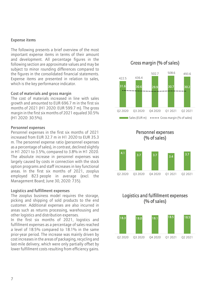#### Expense items

The following presents a brief overview of the most important expense items in terms of their amount and development. All percentage figures in the following section are approximate values and may be subject to minor rounding differences compared to the figures in the consolidated financial statements. Expense items are presented in relation to sales, which is the key performance indicator.

#### Cost of materials and gross margin

The cost of materials increased in line with sales growth and amounted to EUR 696.7 m in the first six months of 2021 (H1 2020: EUR 599.7 m). The gross margin in the first six months of 2021 equaled 30.5% (H1 2020: 30.5%).

#### Personnel expenses

Personnel expenses in the first six months of 2021 increased from EUR 32.7 m in H1 2020 to EUR 35.3 m. The personnel expense ratio (personnel expenses as a percentage of sales), in contrast, declined slightly in H1 2021 to 3.5%, compared to 3.8% in H1 2020. The absolute increase in personnel expenses was largely caused by costs in connection with the stock option programs and staff increases in key functional areas. In the first six months of 2021, zooplus employed 823 people in average (excl. the Management Board; June 30, 2020: 735).

#### Logistics and fulfillment expenses

The zooplus business model requires the storage, picking and shipping of sold products to the end customer. Additional expenses are also incurred in areas such as returns processing, warehousing and other logistics and distribution expenses.

In the first six months of 2021, logistics and fulfillment expenses as a percentage of sales reached a level of 18.5% compared to 18.1% in the same prior-year period. The increase was mainly driven by cost increases in the areas of packaging, recycling and last-mile delivery, which were only partially offset by lower fulfillment costs resulting from efficiency gains.



Personnel expenses (% of sales)



#### Logistics and fulfillment expenses (% of sales)

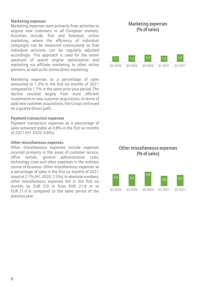#### Marketing expenses

Marketing expenses stem primarily from activities to acquire new customers in all European markets. Activities include, first and foremost, online marketing, where the efficiency of individual campaigns can be measured continuously so that individual activities can be regularly adjusted accordingly. This approach is used for the entire spectrum of search engine optimization and marketing via affiliate marketing to other online partners, as well as for online direct marketing.

Marketing expenses as a percentage of sales amounted to 1.3% in the first six months of 2021 compared to 1.7% in the same prior-year period. The decline resulted largely from more efficient investments in new customer acquisitions. In terms of paid new customer acquisitions, the Group continued on a quality-driven path.

#### Payment transaction expenses

Payment transaction expenses as a percentage of sales remained stable at 0.8% in the first six months of 2021 (H1 2020: 0.8%).

#### Other miscellaneous expenses

Other miscellaneous expenses include expenses incurred primarily in the areas of customer service, office rentals, general administrative costs, technology costs and other expenses in the ordinary course of business. Other miscellaneous expenses as a percentage of sales in the first six months of 2021 stood at 2.1% (H1 2020: 2.5%). In absolute numbers, other miscellaneous expenses fell in the first six months by EUR 0.9 m from EUR 21.9 m to EUR 21.0 m compared to the same period of the previous year.

#### Marketing expenses (% of sales)

| 1.1     | $\left 1.3\right\rangle$ | 1.4     | 12      | 1.5     |
|---------|--------------------------|---------|---------|---------|
| 02 2020 | 03 2020                  | 04 2020 | 01 2021 | 02 2021 |

#### Other miscellaneous expenses (% of sales)

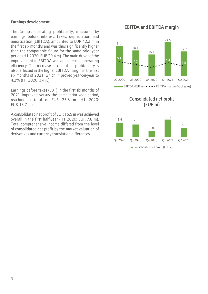#### Earnings development

The Group's operating profitability, measured by earnings before interest, taxes, depreciation and amortization (EBITDA), amounted to EUR 42.2 m in the first six months and was thus significantly higher than the comparable figure for the same prior-year period (H1 2020: EUR 29.4 m). The main driver of the improvement in EBITDA was an increased operating efficiency. The increase in operating profitability is also reflected in the higher EBITDA margin in the first six months of 2021, which improved year-on-year to 4.2% (H1 2020: 3.4%).

Earnings before taxes (EBT) in the first six months of 2021 improved versus the same prior-year period, reaching a total of EUR 25.8 m (H1 2020: EUR 13.7 m).

A consolidated net profit of EUR 15.5 m was achieved overall in the first half-year (H1 2020: EUR 7.8 m). Total comprehensive income differed from the level of consolidated net profit by the market valuation of derivatives and currency translation differences.

#### EBITDA and EBITDA margin



Consolidated net profit (EUR m)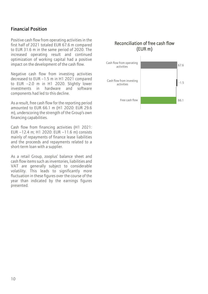### Financial Position

Positive cash flow from operating activities in the first half of 2021 totaled EUR 67.6 m compared to EUR 31.6 m in the same period of 2020. The increased operating result and continued optimization of working capital had a positive impact on the development of the cash flow.

Negative cash flow from investing activities decreased to EUR –1.5 m in H1 2021 compared to EUR –2.0 m in H1 2020. Slightly lower investments in hardware and software components had led to this decline.

As a result, free cash flow for the reporting period amounted to EUR 66.1 m (H1 2020: EUR 29.6 m), underscoring the strength of the Group's own financing capabilities.

Cash flow from financing activities (H1 2021: EUR –12.4 m; H1 2020: EUR –11.6 m) consists mainly of repayments of finance lease liabilities and the proceeds and repayments related to a short-term loan with a supplier.

As a retail Group, zooplus' balance sheet and cash flow items such as inventories, liabilities and VAT are generally subject to considerable volatility. This leads to significantly more fluctuation in these figures over the course of the year than indicated by the earnings figures presented.

### Reconciliation of free cash flow (EUR m)

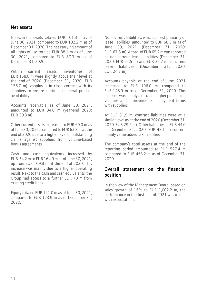#### Net assets

Non-current assets totaled EUR 101.8 m as of June 30, 2021, compared to EUR 102.2 m as of December 31, 2020. The net carrying amount of all rights-of-use totaled EUR 88.1 m as of June 30, 2021, compared to EUR 87.3 m as of December 31, 2020.

Within current assets, inventories of EUR 158.0 m were slightly above their level at the end of 2020 (December 31, 2020: EUR 156.7 m). zooplus is in close contact with its suppliers to ensure continued general product availability.

Accounts receivable as of June 30, 2021, amounted to EUR 34.0 m (year-end 2020: EUR 30.3 m).

Other current assets increased to EUR 69.0 m as of June 30, 2021, compared to EUR 63.8 m at the end of 2020 due to a higher level of outstanding claims against suppliers from volume-based bonus agreements.

Cash and cash equivalents increased by EUR 54.2 m to EUR 164.0 m as of June 30, 2021, up from EUR 109.8 m at the end of 2020. This increase was mainly due to a higher operating result. Next to the cash and cash equivalents, the Group had access to a further EUR 70 m from existing credit lines.

Equity totaled EUR 141.0 m as of June 30, 2021, compared to EUR 123.9 m as of December 31, 2020.

Non-current liabilities, which consist primarily of lease liabilities, amounted to EUR 68.5 m as of June 30, 2021 (December 31, 2020: EUR 67.8 m). A total of EUR 65.2 m was reported as non-current lease liabilities (December 31, 2020: EUR 64.5 m) and EUR 25.2 m as current lease liabilities (December 31, 2020: EUR 24.2 m).

Accounts payable at the end of June 2021 increased to EUR 196.0 m, compared to EUR 148.9 m as of December 31, 2020. This increase was mainly a result of higher purchasing volumes and improvements in payment terms with suppliers.

At EUR 31,9 m, contract liabilities were at a similar level as at the end of 2020 (December 31, 2020: EUR 29.2 m). Other liabilities of EUR 44.0 m (December 31, 2020: EUR 48.1 m) concern mainly value-added tax liabilities.

The company's total assets at the end of the reporting period amounted to EUR 527.4 m compared to EUR 463.2 m as of December 31, 2020.

#### Overall statement on the financial position

In the view of the Management Board, based on sales growth of 16% to EUR 1,002.2 m, the performance in the first half of 2021 was in line with expectations.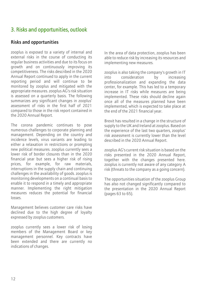# 3. Risks and opportunities, outlook

### Risks and opportunities

zooplus is exposed to a variety of internal and external risks in the course of conducting its regular business activities and due to its focus on growth and on continuously improving its competitiveness. The risks described in the 2020 Annual Report continued to apply in the current reporting period and will continue to be monitored by zooplus and mitigated with the appropriate measures. zooplus AG's risk situation is assessed on a quarterly basis. The following summarizes any significant changes in zooplus' assessment of risks in the first half of 2021 compared to those in the risk report contained in the 2020 Annual Report.

The corona pandemic continues to pose numerous challenges to corporate planning and management. Depending on the country and incidence levels, virus variants are leading to either a relaxation in restrictions or prompting new political measures. zooplus currently sees a lower risk of border closures than in the 2020 financial year but sees a higher risk of rising prices, for example, for raw materials, interruptions in the supply chain and continuing challenges in the availability of goods. zooplus is monitoring developments on a continual basis to enable it to respond in a timely and appropriate manner. Implementing the right mitigation measures reduces the potential for financial losses.

Management believes customer care risks have declined due to the high degree of loyalty expressed by zooplus customers.

zooplus currently sees a lower risk of losing members of the Management Board or key management personnel. Key contracts have been extended and there are currently no indications of changes.

In the area of data protection, zooplus has been able to reduce risk by increasing its resources and implementing new measures.

zooplus is also taking the company's growth in IT into consideration by increasing professionalization and expanding the data center, for example. This has led to a temporary increase in IT risks while measures are being implemented. These risks should decline again once all of the measures planned have been implemented, which is expected to take place at the end of the 2021 financial year.

Brexit has resulted in a change in the structure of supply to the UK and Ireland at zooplus. Based on the experience of the last two quarters, zooplus' risk assessment is currently lower than the level described in the 2020 Annual Report.

zooplus AG's current risk situation is based on the risks presented in the 2020 Annual Report, together with the changes presented here. zooplus is currently not aware of any category A risk (threats to the company as a going concern).

The opportunities situation of the zooplus Group has also not changed significantly compared to the presentation in the 2020 Annual Report (pages 63 to 65).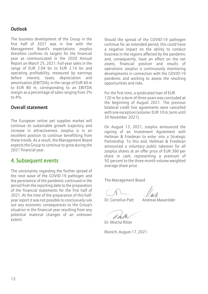### Outlook

The business development of the Group in the first half of 2021 was in line with the Management Board's expectations. zooplus therefore confirms its targets for the financial year as communicated in the 2020 Annual Report on March 25, 2021: Full-year sales in the range of EUR 2.04 bn to EUR 2.14 bn and operating profitability, measured by earnings before interest, taxes, depreciation and amortization (EBITDA), in the range of EUR 40 m to EUR 80 m, corresponding to an EBITDA margin as a percentage of sales ranging from 2% to  $4\%$ 

#### Overall statement

The European online pet supplies market will continue its sustainable growth trajectory and increase in attractiveness. zooplus is in an excellent position to continue benefitting from these trends. As a result, the Management Board expects the Group to continue to grow during the 2021 financial year.

### 4. Subsequent events

The uncertainty regarding the further spread of the next wave of the COVID-19 pathogen and the persistence of the pandemic continued in the period from the reporting date to the preparation of the financial statements for the first half of 2021. At the time of the preparation of this halfyear report it was not possible to conclusively rule out any economic consequences to the Group's situation in the financial year resulting from any potential material changes of an unknown extent.

Should the spread of the COVID-19 pathogen continue for an extended period, this could have a negative impact on the ability to conduct business in the regions affected by the pandemic and, consequently, have an effect on the net assets, financial position and results of operations. zooplus is continuously monitoring developments in connection with the COVID-19 pandemic and working to assess the resulting opportunities and risks.

For the first time, a syndicated loan of EUR 120 m for a term of three years was concluded at the beginning of August 2021. The previous bilateral credit line agreements were cancelled with one exception (volume: EUR 10 m; term until 30 November 2021).

On August 13, 2021, zooplus announced the signing of an Investment Agreement with Hellman & Friedman to enter into a Strategic Partnership. To this end, Hellman & Friedman announced a voluntary public takeover for all zooplus shares at an offer price of EUR 390 per share in cash, representing a premium of 50 percent to the three-month volume-weighted average share price.

The Management Board

Dr. Cornelius Patt Andreas Maueröder

Dr. Mischa Ritter

Munich, August 17, 2021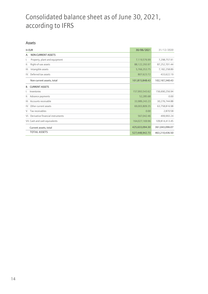# Consolidated balance sheet as of June 30, 2021, according to IFRS

#### Assets

| In EUR    |                                      | 30/06/2021     | 31/12/2020     |
|-----------|--------------------------------------|----------------|----------------|
| А.        | <b>NON-CURRENT ASSETS</b>            |                |                |
| ı.        | Property, plant and equipment        | 7,119,576.99   | 7,298,757.91   |
| Ш.        | Right-of-use assets                  | 88,122,293.97  | 87,252,701.44  |
| III.      | Intangible assets                    | 5,766,353.75   | 7,182,258.89   |
|           | IV. Deferred tax assets              | 807,623.72     | 433,622.19     |
|           | Non-current assets, total            | 101,815,848.43 | 102,167,340.43 |
| <b>B.</b> | <b>CURRENT ASSETS</b>                |                |                |
| I.        | Inventories                          | 157,993,543.62 | 156,690,256.94 |
|           | II. Advance payments                 | 52,285.68      | 0.00           |
|           | III. Accounts receivable             | 33,989,243.23  | 30,276,744.88  |
|           | IV. Other current assets             | 69,003,809.35  | 63,758,816.98  |
|           | V. Tax receivables                   | 0.00           | 2,870.58       |
|           | VI. Derivative financial instruments | 567,042.46     | 499,993.24     |
|           | VII. Cash and cash equivalents       | 164,027,169.96 | 109,814,413.45 |
|           | Current assets, total                | 425,633,094.30 | 361,043,096.07 |
|           | <b>TOTAL ASSETS</b>                  | 527,448,942.73 | 463,210,436.50 |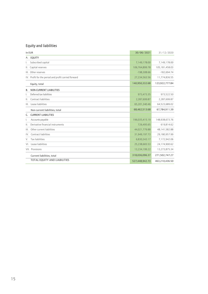# Equity and liabilities

|      | In EUR                                               | 30/06/2021     | 31/12/2020       |
|------|------------------------------------------------------|----------------|------------------|
| А.   | <b>EQUITY</b>                                        |                |                  |
|      | Subscribed capital                                   | 7,149,178.00   | 7,149,178.00     |
| Ш.   | Capital reserves                                     | 106,764,899.78 | 105, 181, 458.03 |
|      | III. Other reserves                                  | -198,308.66    | $-182,694.74$    |
|      | IV. Profit for the period and profit carried forward | 27,234,563.56  | 11,774,836.55    |
|      | Equity, total                                        | 140,950,332.68 | 123,922,777.84   |
| B.   | <b>NON-CURRENT LIABILITIES</b>                       |                |                  |
|      | Deferred tax liabilities                             | 973,473.35     | 973,522.50       |
| Ш.   | Contract liabilities                                 | 2,287,699.87   | 2,287,699.87     |
| III. | Lease liabilities                                    | 65,201,340.46  | 64,523,689.02    |
|      | Non-current liabilities, total                       | 68,462,513.68  | 67,784,911.39    |
| C.   | <b>CURRENT LIABILITIES</b>                           |                |                  |
| I.   | Accounts payable                                     | 196,035,415.19 | 148,938,673.76   |
| Ш.   | Derivative financial instruments                     | 726,495.65     | 619,814.62       |
| III. | Other current liabilities                            | 44,021,779.88  | 48, 141, 582.88  |
| IV.  | Contract liabilities                                 | 31,949,197.73  | 29,180,957.99    |
| V.   | <b>Tax liabilities</b>                               | 6,830,343.17   | 7,172,942.06     |
|      | VI. Lease liabilities                                | 25,238,665.53  | 24,174,900.62    |
|      | VII. Provisions                                      | 13,234,199.22  | 13,273,875.34    |
|      | Current liabilities, total                           | 318,036,096.37 | 271,502,747.27   |
|      | TOTAL EQUITY AND LIABILITIES                         | 527,448,942.73 | 463,210,436.50   |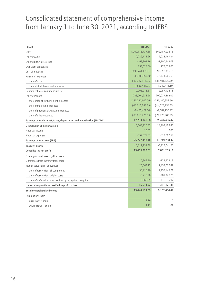# Consolidated statement of comprehensive income from January 1 to June 30, 2021, according to IFRS

| In EUR                                                                  | H1 2021               | H1 2020               |
|-------------------------------------------------------------------------|-----------------------|-----------------------|
| Sales                                                                   | 1,002,176,737.88      | 862,487,906.15        |
| Other income                                                            | 2,229,773.66          | 2,028,167.34          |
| Other gains / losses - net                                              | $-468,307.26$         | $-1,300,949.03$       |
| Own work capitalized                                                    | 353,624.00            | 778,615.00            |
| Cost of materials                                                       | -696,741,475.91       | -599,698,396.10       |
| Personnel expenses                                                      | $-35,305,557.70$      | -32,733,966.69        |
| thereof cash                                                            | $(-33, 722, 115.95)$  | $(-31, 491, 520.59)$  |
| thereof stock-based and non-cash                                        | $(-1, 583, 441.75)$   | $(-1, 242, 446.10)$   |
| Impairment losses on financial assets                                   | $-2,005,913.81$       | $-2,057,102.18$       |
| Other expenses                                                          | -228,004,938.98       | -200,077,868.07       |
| thereof logistics/fulfillment expenses                                  | $(-185, 220, 602.06)$ | $(-156, 440, 953.56)$ |
| thereof marketing expenses                                              | $(-13, 315, 183.89)$  | $(-14, 628, 254.55)$  |
| thereof payment transaction expenses                                    | $(-8,455,427.50)$     | $(-7,082,755.97)$     |
| thereof other expenses                                                  | $(-21, 013, 725.53)$  | $(-21, 925, 903.99)$  |
| Earnings before interest, taxes, depreciation and amortization (EBITDA) | 42,233,941.88         | 29,426,406.42         |
| Depreciation and amortization                                           | $-15,603,920.87$      | $-14,997,188.46$      |
| Financial income                                                        | 15.02                 | 0.00                  |
| Financial expenses                                                      | $-852,577.63$         | $-679,967.59$         |
| Earnings before taxes (EBT)                                             | 25,777,458.40         | 13,749,250.37         |
| Taxes on income                                                         | $-10,317,731.39$      | $-5,918,041.26$       |
| Consolidated net profit                                                 | 15,459,727.01         | 7,831,209.11          |
| Other gains and losses (after taxes)                                    |                       |                       |
| Differences from currency translation                                   | 10,949.30             | $-125,529.18$         |
| Market valuation of derivatives                                         | $-26,563.22$          | 1,457,000.49          |
| thereof reserve for risk component                                      | $-33,418.20$          | 2,455,145.21          |
| thereof reserve for hedging costs                                       | $-6,213.20$           | $-281,328.75$         |
| thereof deferred income tax directly recognized in equity               | 13,068.59             | $-716,815.97$         |
| Items subsequently reclassified to profit or loss                       | $-15,613.92$          | 1,331,471.31          |
| Total comprehensive income                                              | 15,444,113.09         | 9,162,680.42          |
| Earnings per share                                                      |                       |                       |
| Basic (EUR / share)                                                     | 2.16                  | 1.10                  |
| Diluted (EUR / share)                                                   | 2.11                  | 1.09                  |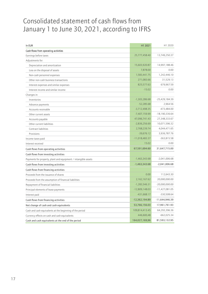# Consolidated statement of cash flows from January 1 to June 30, 2021, according to IFRS

| In EUR                                                         | H1 2021          | H1 2020          |
|----------------------------------------------------------------|------------------|------------------|
| Cash flows from operating activities                           |                  |                  |
| Earnings before taxes                                          | 25,777,458.40    | 13,749,250.37    |
| Adjustments for:                                               |                  |                  |
| Depreciation and amortization                                  | 15,603,920.87    | 14,997,188.46    |
| Loss on the disposal of assets                                 | 7,878.00         | 0.00             |
| Non-cash personnel expenses                                    | 1,583,441.75     | 1,242,446.10     |
| Other non-cash business transactions                           | 271,083.66       | 31,529.13        |
| Interest expenses and similar expenses                         | 825,577.63       | 679,967.59       |
| Interest income and similar income                             | $-15.02$         | 0.00             |
| Changes in:                                                    |                  |                  |
| Inventories                                                    | $-1,303,286.68$  | -25,429,184.39   |
| Advance payments                                               | $-52,285.68$     | 2,964.56         |
| Accounts receivable                                            | $-3,712,498.35$  | -473,484.00      |
| Other current assets                                           | $-7,407,159.99$  | -18,190,336.64   |
| Accounts payable                                               | 47,096,741.43    | 27,348,333.67    |
| Other current liabilities                                      | $-2,836,256.69$  | 10,071,596.32    |
| Contract liabilities                                           | 2,768,239.74     | 4,044,471.65     |
| Provisions                                                     | $-39,676.12$     | 3,936,787.76     |
| Income taxes paid                                              | $-11,018,483.37$ | $-363,815.58$    |
| Interest received                                              | 15.02            | 0.00             |
| Cash flows from operating activities                           | 67,591,694.60    | 31,647,715.00    |
| Cash flows from investing activities                           |                  |                  |
| Payments for property, plant and equipment / intangible assets | $-1,463,343.68$  | $-2,041,006.68$  |
| Cash flows from investing activities                           | $-1,463,343.68$  | $-2,041,006.68$  |
| Cash flows from financing activities                           |                  |                  |
| Proceeds from the issuance of shares                           | 0.00             | 112,643.30       |
| Proceeds from the assumption of financial liabilities          | 2,162,167.62     | 20,000,000.00    |
| Repayment of financial liabilities                             | $-1,283,546.31$  | $-20,000,000.00$ |
| Principal elements of lease payments                           | $-12,809,148.03$ | $-11,427,081.05$ |
| Interest paid                                                  | $-431,668.17$    | -330,508.64      |
| Cash flows from financing activities                           | $-12,362,194.89$ | $-11,644,946.39$ |
| Net change of cash and cash equivalents                        | 53,766,156.03    | 17,961,761.93    |
| Cash and cash equivalents at the beginning of the period       | 109,814,413.45   | 64,293,396.36    |
| Currency effects on cash and cash equivalents                  | 446,600,48       | $-662,025.34$    |
| Cash and cash equivalents at the end of the period             | 164,027,169,96   | 81,593,132.95    |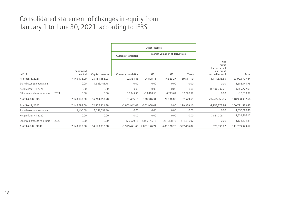# Consolidated statement of changes in equity from January 1 to June 30, 2021, according to IFRS

|                                    |                       |                  |                      | Other reserves |               |               |                                                                         |                                 |  |  |  |
|------------------------------------|-----------------------|------------------|----------------------|----------------|---------------|---------------|-------------------------------------------------------------------------|---------------------------------|--|--|--|
|                                    |                       |                  |                      |                |               |               |                                                                         | Market valuation of derivatives |  |  |  |
| In EUR                             | Subscribed<br>capital | Capital reserves | Currency translation | OCI I          | OCI II        | Taxes         | <b>Net</b><br>profit<br>for the period<br>and profit<br>carried forward | Total                           |  |  |  |
| As of Jan. 1, 2021                 | 7,149,178.00          | 105,181,458.03   | $-102,384.46$        | $-104,898.11$  | $-14,923.27$  | 39,511.10     | 11,774,836.55                                                           | 123,922,777.84                  |  |  |  |
| Share-based compensation           | 0.00                  | 1,583,441.75     | 0.00                 | 0.00           | 0.00          | 0.00          | 0.00                                                                    | 1,583,441.75                    |  |  |  |
| Net profit for H1 2021             | 0.00                  | 0.00             | 0.00                 | 0.00           | 0.00          | 0.00          | 15,459,727.01                                                           | 15,459,727.01                   |  |  |  |
| Other comprehensive income H1 2021 | 0.00                  | 0.00             | 10,949.30            | $-33,418.30$   | $-6,213.61$   | 13,068.59     | 0.00                                                                    | $-15,613.92$                    |  |  |  |
| As of June 30, 2021                | 7,149,178.00          | 106,764,899.78   | $-91,435.16$         | $-138,316.31$  | $-21,136.88$  | 52,579.69     | 27,234,563.56                                                           | 140,950,332.68                  |  |  |  |
| As of Jan. 1, 2020                 | 7,146,688.00          | 102,827,311.58   | $-1,803,942.42$      | $-361,968.47$  | 0.00          | 119,359.10    | $-7,155,873.94$                                                         | 100,771,573.85                  |  |  |  |
| Share-based compensation           | 2,490.00              | 1,352,599.40     | 0.00                 | 0.00           | 0.00          | 0.00          | 0.00                                                                    | 1,355,089.40                    |  |  |  |
| Net profit for H1 2020             | 0.00                  | 0.00             | 0.00                 | 0.00           | 0.00          | 0.00          | 7,831,209.11                                                            | 7,831,209.11                    |  |  |  |
| Other comprehensive income H1 2020 | 0.00                  | 0.00             | $-125,529.18$        | 2,455,145.18   | $-281,328.75$ | $-716,815.97$ | 0.00                                                                    | 1,331,471.31                    |  |  |  |
| As of June 30, 2020                | 7,149,178.00          | 104,179,910.98   | $-1,929,471.60$      | 2,093,176.74   | $-281,328.75$ | $-597,456.87$ | 675,335.17                                                              | 111,289,343.67                  |  |  |  |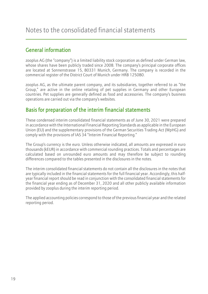# General information

zooplus AG (the "company") is a limited liability stock corporation as defined under German law, whose shares have been publicly traded since 2008. The company's principal corporate offices are located at Sonnenstrasse 15, 80331 Munich, Germany. The company is recorded in the commercial register of the District Court of Munich under HRB 125080.

zooplus AG, as the ultimate parent company, and its subsidiaries, together referred to as "the Group," are active in the online retailing of pet supplies in Germany and other European countries. Pet supplies are generally defined as food and accessories. The company's business operations are carried out via the company's websites.

# Basis for preparation of the interim financial statements

These condensed interim consolidated financial statements as of June 30, 2021 were prepared in accordance with the International Financial Reporting Standards as applicable in the European Union (EU) and the supplementary provisions of the German Securities Trading Act (WpHG) and comply with the provisions of IAS 34 "Interim Financial Reporting."

The Group's currency is the euro. Unless otherwise indicated, all amounts are expressed in euro thousands (kEUR) in accordance with commercial rounding practices. Totals and percentages are calculated based on unrounded euro amounts and may therefore be subject to rounding differences compared to the tables presented in the disclosures in the notes.

The interim consolidated financial statements do not contain all the disclosures in the notes that are typically included in the financial statements for the full financial year. Accordingly, this halfyear financial report should be read in conjunction with the consolidated financial statements for the financial year ending as of December 31, 2020 and all other publicly available information provided by zooplus during the interim reporting period.

The applied accounting policies correspond to those of the previous financial year and the related reporting period.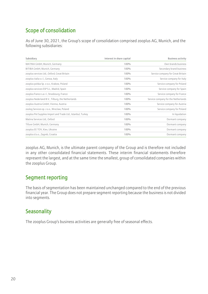# Scope of consolidation

As of June 30, 2021, the Group's scope of consolidation comprised zooplus AG, Munich, and the following subsidiaries:

| Subsidiary                                                   | Interest in share capital | <b>Business activity</b>            |
|--------------------------------------------------------------|---------------------------|-------------------------------------|
| MATINA GmbH, Munich, Germany                                 | 100%                      | Own brands business                 |
| BITIBA GmbH, Munich, Germany                                 | 100%                      | Secondary brand business            |
| zooplus services Ltd., Oxford, Great Britain                 | 100%                      | Service company for Great Britain   |
| zooplus italia s.r.l., Genoa, Italy                          | 100%                      | Service company for Italy           |
| zooplus polska Sp. z o.o., Krakow, Poland                    | 100%                      | Service company for Poland          |
| zooplus services ESP S.L., Madrid, Spain                     | 100%                      | Service company for Spain           |
| zooplus france s.a.r.l., Strasbourg, France                  | 100%                      | Service company for France          |
| zooplus Nederland B.V., Tilburg, the Netherlands             | 100%                      | Service company for the Netherlands |
| zooplus Austria GmbH, Vienna, Austria                        | 100%                      | Service company for Austria         |
| zoolog Services sp. z o.o., Wroclaw, Poland                  | 100%                      | Service company for Poland          |
| zooplus Pet Supplies Import and Trade Ltd., Istanbul, Turkey | 100%                      | In liquidation                      |
| Matina Services Ltd., Oxford                                 | 100%                      | Dormant company                     |
| Tifuve GmbH, Munich, Germany                                 | 100%                      | Dormant company                     |
| zooplus EE TOV, Kiev, Ukraine                                | 100%                      | Dormant company                     |
| zooplus d.o.o., Zagreb, Croatia                              | 100%                      | Dormant company                     |

zooplus AG, Munich, is the ultimate parent company of the Group and is therefore not included in any other consolidated financial statements. These interim financial statements therefore represent the largest, and at the same time the smallest, group of consolidated companies within the zooplus Group.

# Segment reporting

The basis of segmentation has been maintained unchanged compared to the end of the previous financial year. The Group does not prepare segment reporting because the business is not divided into segments.

# **Seasonality**

The zooplus Group's business activities are generally free of seasonal effects.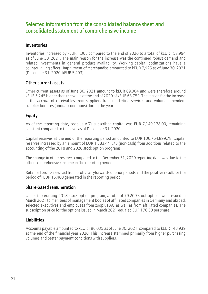# Selected information from the consolidated balance sheet and consolidated statement of comprehensive income

#### Inventories

Inventories increased by kEUR 1,303 compared to the end of 2020 to a total of kEUR 157,994 as of June 30, 2021. The main reason for the increase was the continued robust demand and related investments in general product availability. Working capital optimizations have a countervailing effect. Impairment of merchandise amounted to kEUR 7,925 as of June 30, 2021 (December 31, 2020: kEUR 5,493).

#### Other current assets

Other current assets as of June 30, 2021 amount to kEUR 69,004 and were therefore around kEUR 5,245 higher than the value at the end of 2020 of kEUR 63,759. The reason for the increase is the accrual of receivables from suppliers from marketing services and volume-dependent supplier bonuses (annual conditions) during the year.

#### Equity

As of the reporting date, zooplus AG's subscribed capital was EUR 7,149,178.00, remaining constant compared to the level as of December 31, 2020.

Capital reserves at the end of the reporting period amounted to EUR 106,764,899.78. Capital reserves increased by an amount of EUR 1,583,441.75 (non-cash) from additions related to the accounting of the 2018 and 2020 stock option programs.

The change in other reserves compared to the December 31, 2020 reporting date was due to the other comprehensive income in the reporting period.

Retained profits resulted from profit carryforwards of prior periods and the positive result for the period of kEUR 15,460 generated in the reporting period.

#### Share-based remuneration

Under the existing 2018 stock option program, a total of 79,200 stock options were issued in March 2021 to members of management bodies of affiliated companies in Germany and abroad, selected executives and employees from zooplus AG as well as from affiliated companies. The subscription price for the options issued in March 2021 equaled EUR 176.30 per share.

#### Liabilities

Accounts payable amounted to kEUR 196,035 as of June 30, 2021, compared to kEUR 148,939 at the end of the financial year 2020. This increase stemmed primarily from higher purchasing volumes and better payment conditions with suppliers.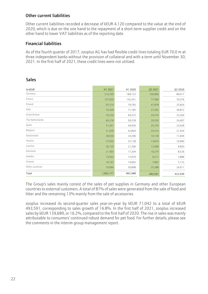#### Other current liabilities

Other current liabilities recorded a decrease of kEUR 4,120 compared to the value at the end of 2020, which is due on the one hand to the repayment of a short-term supplier credit and on the other hand to lower VAT liabilities as of the reporting date.

#### Financial liabilities

As of the fourth quarter of 2017, zooplus AG has had flexible credit lines totaling EUR 70.0 m at three independent banks without the provision of collateral and with a term until November 30, 2021. In the first half of 2021, these credit lines were not utilized.

| In kEUR         | H1 2021   | H1 2020 | Q2 2021 | Q2 2020 |
|-----------------|-----------|---------|---------|---------|
| Germany         | 216,705   | 189,122 | 106,899 | 89,417  |
| France          | 157,926   | 142,351 | 77,586  | 70,376  |
| Poland          | 97,514    | 79,793  | 47,878  | 37,834  |
| Italy           | 76,349    | 71,185  | 37,382  | 36,872  |
| Great Britain   | 70,230    | 64,373  | 34,576  | 32,204  |
| The Netherlands | 60,218    | 50,378  | 29,530  | 24,407  |
| Spain           | 51,441    | 44,936  | 25,379  | 23,028  |
| Belgium         | 51,030    | 42,844  | 25,419  | 21,454  |
| Switzerland     | 38,936    | 24,296  | 19,138  | 11,649  |
| Austria         | 27,655    | 33,138  | 13,819  | 16,960  |
| Czechia         | 26,135    | 21,296  | 12,968  | 9,850   |
| Denmark         | 21,403    | 17,204  | 10,219  | 8,526   |
| Sweden          | 19,503    | 15,979  | 9,517   | 7,888   |
| Finland         | 16,167    | 14,695  | 7,892   | 7,173   |
| Other countries | 70,964    | 50,898  | 35,388  | 24,911  |
| Total           | 1,002,177 | 862,488 | 493,591 | 422,549 |

#### **Sales**

The Group's sales mainly consist of the sales of pet supplies in Germany and other European countries to external customers. A total of 87% of sales were generated from the sale of food and litter and the remaining 13% mainly from the sale of accessories.

zooplus increased its second-quarter sales year-on-year by kEUR 71,042 to a total of kEUR 493,591, corresponding to sales growth of 16.8%. In the first half of 2021, zooplus increased sales by kEUR 139,689, or 16.2%, compared to the first half of 2020. The rise in sales was mainly attributable to consumers' continued robust demand for pet food. For further details, please see the comments in the interim group management report.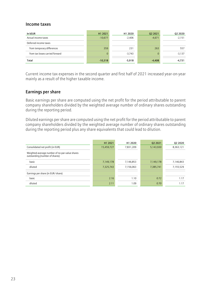#### Income taxes

| In kEUR                         | H1 2021   | H1 2020  | Q2 2021  | Q2 2020  |
|---------------------------------|-----------|----------|----------|----------|
| Actual income taxes             | $-10,677$ | $-2,406$ | $-4,671$ | $-2,151$ |
| Deferred income taxes           |           |          |          |          |
| from temporary differences      | 359       | 231      | 263      | 557      |
| from tax losses carried forward | 0         | $-3.743$ |          | $-3,137$ |
| Total                           | $-10,318$ | $-5,918$ | $-4,408$ | $-4,731$ |

Current income tax expenses in the second quarter and first half of 2021 increased year-on-year mainly as a result of the higher taxable income.

#### Earnings per share

Basic earnings per share are computed using the net profit for the period attributable to parent company shareholders divided by the weighted average number of ordinary shares outstanding during the reporting period.

Diluted earnings per share are computed using the net profit for the period attributable to parent company shareholders divided by the weighted average number of ordinary shares outstanding during the reporting period plus any share equivalents that could lead to dilution.

|                                                                                  | H1 2021    | H1 2020   | 02 2021   | Q <sub>2</sub> 20 <sub>20</sub> |
|----------------------------------------------------------------------------------|------------|-----------|-----------|---------------------------------|
| Consolidated net profit (in EUR)                                                 | 15,459,727 | 7,831,209 | 5,143,930 | 8,363,121                       |
| Weighted-average number of no-par-value shares<br>outstanding (number of shares) |            |           |           |                                 |
| basic                                                                            | 7,149,178  | 7,146,853 | 7,149,178 | 7,146,843                       |
| diluted                                                                          | 7,325,743  | 7,156,063 | 7,385,741 | 7,155,529                       |
| Earnings per share (in EUR/share)                                                |            |           |           |                                 |
| basic                                                                            | 2.16       | 1.10      | 0.72      | 1.17                            |
| diluted                                                                          | 2.11       | 1.09      | 0.70      | 1.17                            |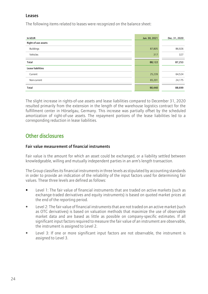#### Leases

The following items related to leases were recognized on the balance sheet:

| In kEUR             | Jun. 30, 2021 | Dec. 31, 2020 |
|---------------------|---------------|---------------|
| Right-of-use assets |               |               |
| <b>Buildings</b>    | 87,805        | 86,926        |
| Vehicles            | 317           | 327           |
| Total               | 88,122        | 87,253        |
| Lease liabilities   |               |               |
| Current             | 25,239        | 64,524        |
| Non-current         | 65,201        | 24,175        |
| Total               | 90,440        | 88,699        |

The slight increase in rights-of-use assets and lease liabilities compared to December 31, 2020 resulted primarily from the extension in the length of the warehouse logistics contract for the fulfillment center in Hörselgau, Germany. This increase was partially offset by the scheduled amortization of right-of-use assets. The repayment portions of the lease liabilities led to a corresponding reduction in lease liabilities.

# Other disclosures

#### Fair value measurement of financial instruments

Fair value is the amount for which an asset could be exchanged, or a liability settled between knowledgeable, willing and mutually independent parties in an arm's length transaction.

The Group classifies its financial instruments in three levels as stipulated by accounting standards in order to provide an indication of the reliability of the input factors used for determining fair values. These three levels are defined as follows:

- Level 1: The fair value of financial instruments that are traded on active markets (such as exchange-traded derivatives and equity instruments) is based on quoted market prices at the end of the reporting period.
- Level 2: The fair value of financial instruments that are not traded on an active market (such as OTC derivatives) is based on valuation methods that maximize the use of observable market data and are based as little as possible on company-specific estimates. If all significant input factors required to measure the fair value of an instrument are observable, the instrument is assigned to Level 2.
- Level 3: If one or more significant input factors are not observable, the instrument is assigned to Level 3.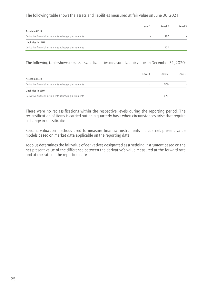The following table shows the assets and liabilities measured at fair value on June 30, 2021:

|                                                         | Level 1 | Level 2 | Level 3 |
|---------------------------------------------------------|---------|---------|---------|
| Assets in kEUR                                          |         |         |         |
| Derivative financial instruments as hedging instruments |         | 567     |         |
| Liabilities in kEUR                                     |         |         |         |
| Derivative financial instruments as hedging instruments |         | 727     |         |

The following table shows the assets and liabilities measured at fair value on December 31, 2020:

|                                                         | Level 1 | Level 2 | Level 3 |
|---------------------------------------------------------|---------|---------|---------|
| Assets in kEUR                                          |         |         |         |
| Derivative financial instruments as hedging instruments |         | 500     |         |
| Liabilities in kEUR                                     |         |         |         |
| Derivative financial instruments as hedging instruments |         | 620     |         |

There were no reclassifications within the respective levels during the reporting period. The reclassification of items is carried out on a quarterly basis when circumstances arise that require a change in classification.

Specific valuation methods used to measure financial instruments include net present value models based on market data applicable on the reporting date.

zooplus determines the fair value of derivatives designated as a hedging instrument based on the net present value of the difference between the derivative's value measured at the forward rate and at the rate on the reporting date.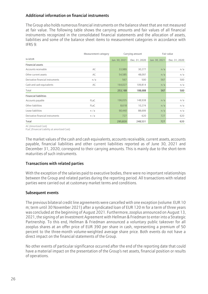#### Additional information on financial instruments

The Group also holds numerous financial instruments on the balance sheet that are not measured at fair value. The following table shows the carrying amounts and fair values of all financial instruments recognized in the consolidated financial statements and the allocation of assets, liabilities and some of the balance sheet items to measurement categories in accordance with IFRS 9:

|                                  | Measurement category | Carrying amount |               | Fair value    |               |
|----------------------------------|----------------------|-----------------|---------------|---------------|---------------|
| In kEUR                          |                      | Jun. 30, 2021   | Dec. 31, 2020 | Jun. 30, 2021 | Dec. 31, 2020 |
| <b>Financial assets</b>          |                      |                 |               |               |               |
| Accounts receivable              | AC                   | 33,989          | 30,277        | n/a           | n/a           |
| Other current assets             | AC                   | 54,585          | 48,097        | n/a           | n/a           |
| Derivative financial instruments | n/a                  | 567             | 500           | 567           | 500           |
| Cash and cash equivalents        | AC                   | 164,027         | 109,814       | n/a           | n/a           |
| Total                            |                      | 253,168         | 188,688       | 567           | 500           |
| <b>Financial liabilities</b>     |                      |                 |               |               |               |
| Accounts payable                 | <b>FLaC</b>          | 196,035         | 148,938       | n/a           | n/a           |
| Other liabilities                | <b>FLaC</b>          | 8,618           | 10,274        | n/a           | n/a           |
| Lease liabilities                | n/a                  | 90,440          | 88,699        | n/a           | n/a           |
| Derivative financial instruments | n/a                  | 727             | 620           | 727           | 620           |
| Total                            |                      | 295,820         | 248,531       | 727           | 620           |

AC (Amortized Cost)

FLaC (Financial Liability at amortized Cost)

The market values of the cash and cash equivalents, accounts receivable, current assets, accounts payable, financial liabilities and other current liabilities reported as of June 30, 2021 and December 31, 2020, correspond to their carrying amounts. This is mainly due to the short-term maturities of such instruments.

#### Transactions with related parties

With the exception of the salaries paid to executive bodies, there were no important relationships between the Group and related parties during the reporting period. All transactions with related parties were carried out at customary market terms and conditions.

#### Subsequent events

The previous bilateral credit line agreements were cancelled with one exception (volume: EUR 10 m; term until 30 November 2021) after a syndicated loan of EUR 120 m for a term of three years was concluded at the beginning of August 2021. Furthermore,zooplus announced on August 13, 2021, the signing of an Investment Agreement with Hellman & Friedman to enter into a Strategic Partnership. To this end, Hellman & Friedman announced a voluntary public takeover for all zooplus shares at an offer price of EUR 390 per share in cash, representing a premium of 50 percent to the three-month volume-weighted average share price. Both events do not have a direct impact on the financial statements of the Group.

No other events of particular significance occurred after the end of the reporting date that could have a material impact on the presentation of the Group's net assets, financial position or results of operations.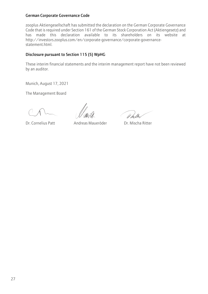#### German Corporate Governance Code

zooplus Aktiengesellschaft has submitted the declaration on the German Corporate Governance Code that is required under Section 161 of the German Stock Corporation Act (Aktiengesetz) and has made this declaration available to its shareholders on its website at http://investors.zooplus.com/en/corporate-governance/corporate-governancestatement.html.

#### Disclosure pursuant to Section 115 (5) WpHG

These interim financial statements and the interim management report have not been reviewed by an auditor.

Munich, August 17, 2021

The Management Board

Il he lle

Dr. Cornelius Patt Andreas Maueröder Dr. Mischa Ritter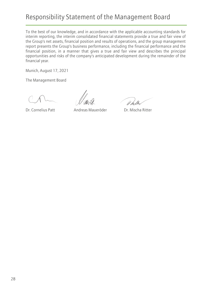# Responsibility Statement of the Management Board

To the best of our knowledge, and in accordance with the applicable accounting standards for interim reporting, the interim consolidated financial statements provide a true and fair view of the Group's net assets, financial position and results of operations, and the group management report presents the Group's business performance, including the financial performance and the financial position, in a manner that gives a true and fair view and describes the principal opportunities and risks of the company's anticipated development during the remainder of the financial year.

Munich, August 17, 2021

The Management Board

// hi

Dr. Cornelius Patt Andreas Maueröder Dr. Mischa Ritter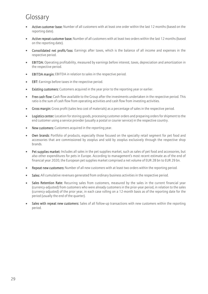# Glossary

- Active customer base: Number of all customers with at least one order within the last 12 months (based on the reporting date).
- Active repeat customer base: Number of all customers with at least two orders within the last 12 months (based on the reporting date).
- Consolidated net profit/loss: Earnings after taxes, which is the balance of all income and expenses in the respective period.
- EBITDA: Operating profitability, measured by earnings before interest, taxes, depreciation and amortization in the respective period.
- EBITDA margin: EBITDA in relation to sales in the respective period.
- EBT: Earnings before taxes in the respective period.
- Existing customers: Customers acquired in the year prior to the reporting year or earlier.
- Free cash flow: Cash flow available to the Group after the investments undertaken in the respective period. This ratio is the sum of cash flow from operating activities and cash flow from investing activities.
- Gross margin: Gross profit (sales less cost of materials) as a percentage of sales in the respective period.
- Logistics center: Location for storing goods, processing customer orders and preparing orders for shipment to the end customer using a service provider (usually a postal or courier service) in the respective country.
- New customers: Customers acquired in the reporting year.
- Own brands: Portfolio of products, especially those focused on the specialty retail segment for pet food and accessories that are commissioned by zooplus and sold by zooplus exclusively through the respective shop brands.
- Pet supplies market: Includes all sales in the pet supplies market, such as sales of pet food and accessories, but also other expenditures for pets in Europe. According to management's most recent estimate as of the end of financial year 2020, the European pet supplies market comprised a net volume of EUR 28 bn to EUR 29 bn.
- Repeat new customers: Number of all new customers with at least two orders within the reporting period.
- Sales: All cumulative revenues generated from ordinary business activities in the respective period.
- Sales Retention Rate: Recurring sales from customers, measured by the sales in the current financial year (currency-adjusted) from customers who were already customers in the prior-year period, in relation to the sales (currency-adjusted) of the prior year, in each case rolling on a 12-month basis as of the reporting date for the period (usually the end of the quarter).
- Sales with repeat new customers: Sales of all follow-up transactions with new customers within the reporting period.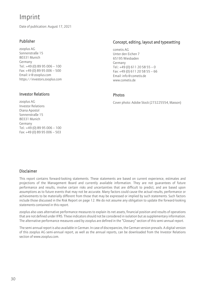# Imprint

Date of publication: August 17, 2021

#### Publisher

zooplus AG Sonnenstraße 15 80331 Munich Germany Tel.: +49 (0) 89 95 006 – 100 Fax: +49 (0) 89 95 006 – 500 Email: [ir@zooplus.com](mailto:ir@zooplus.com) [https://investors.zooplus.com](https://investors.zooplus.com/)

#### Investor Relations

zooplus AG Investor Relations Diana Apostol Sonnenstraße 15 80331 Munich Germany Tel.: +49 (0) 89 95 006 – 100 Fax: +49 (0) 89 95 006 – 503

#### Concept, editing, layout and typesetting

cometis AG Unter den Eichen 7 65195 Wiesbaden Germany Tel.: +49 (0) 611 20 58 55 – 0 Fax: +49 (0) 611 20 58 55 – 66 Email[: info@cometis.de](mailto:info@cometis.de) [www.cometis.de](http://www.cometis.de/)

#### Photos

Cover photo: Adobe Stock (273225554, Masson)

#### Disclaimer

This report contains forward-looking statements. These statements are based on current experience, estimates and projections of the Management Board and currently available information. They are not guarantees of future performance and results, involve certain risks and uncertainties that are difficult to predict, and are based upon assumptions as to future events that may not be accurate. Many factors could cause the actual results, performance or achievements to be materially different from those that may be expressed or implied by such statements. Such factors include those discussed in the Risk Report on page 12. We do not assume any obligation to update the forward-looking statements contained in this report.

zooplus also uses alternative performance measures to explain its net assets, financial position and results of operations that are not defined under IFRS. These indicators should not be considered in isolation but as supplementary information. The alternative performance measures used by zooplus are defined in the "Glossary" section of this semi-annual report.

The semi-annual report is also available in German. In case of discrepancies, the German version prevails. A digital version of this zooplus AG semi-annual report, as well as the annual reports, can be downloaded from the Investor Relations section of www.zooplus.com.